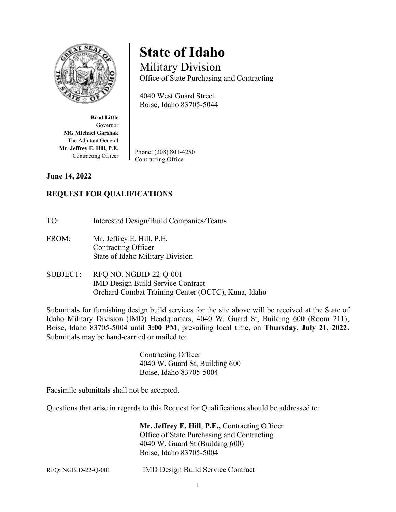

**State of Idaho**

Military Division Office of State Purchasing and Contracting

4040 West Guard Street Boise, Idaho 83705-5044

**Brad Little** Governor **MG Michael Garshak** The Adjutant General **Mr. Jeffrey E. Hill, P.E.** Contracting Officer

Phone: (208) 801-4250 Contracting Office

**June 14, 2022**

# **REQUEST FOR QUALIFICATIONS**

TO: Interested Design/Build Companies/Teams

- FROM: Mr. Jeffrey E. Hill, P.E. Contracting Officer State of Idaho Military Division
- SUBJECT: RFQ NO. NGBID-22-Q-001 IMD Design Build Service Contract Orchard Combat Training Center (OCTC), Kuna, Idaho

Submittals for furnishing design build services for the site above will be received at the State of Idaho Military Division (IMD) Headquarters, 4040 W. Guard St, Building 600 (Room 211), Boise, Idaho 83705-5004 until **3:00 PM**, prevailing local time, on **Thursday, July 21, 2022.** Submittals may be hand-carried or mailed to:

> Contracting Officer 4040 W. Guard St, Building 600 Boise, Idaho 83705-5004

Facsimile submittals shall not be accepted.

Questions that arise in regards to this Request for Qualifications should be addressed to:

**Mr. Jeffrey E. Hill**, **P.E.,** Contracting Officer Office of State Purchasing and Contracting 4040 W. Guard St (Building 600) Boise, Idaho 83705-5004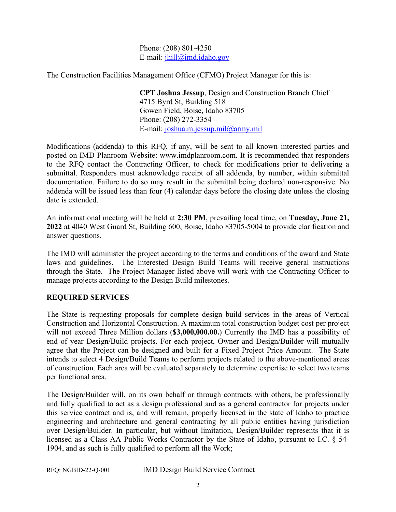Phone: (208) 801-4250 E-mail: [jhill@imd.idaho.gov](mailto:jhill@imd.idaho.gov)

The Construction Facilities Management Office (CFMO) Project Manager for this is:

**CPT Joshua Jessup**, Design and Construction Branch Chief 4715 Byrd St, Building 518 Gowen Field, Boise, Idaho 83705 Phone: (208) 272-3354 E-mail: joshua.m.jessup.mil@army.mil

Modifications (addenda) to this RFQ, if any, will be sent to all known interested parties and posted on IMD Planroom Website: [www.imdplanroom.com.](http://www.imdplanroom.com/) It is recommended that responders to the RFQ contact the Contracting Officer, to check for modifications prior to delivering a submittal. Responders must acknowledge receipt of all addenda, by number, within submittal documentation. Failure to do so may result in the submittal being declared non-responsive. No addenda will be issued less than four (4) calendar days before the closing date unless the closing date is extended.

An informational meeting will be held at **2:30 PM**, prevailing local time, on **Tuesday, June 21, 2022** at 4040 West Guard St, Building 600, Boise, Idaho 83705-5004 to provide clarification and answer questions.

The IMD will administer the project according to the terms and conditions of the award and State laws and guidelines. The Interested Design Build Teams will receive general instructions through the State. The Project Manager listed above will work with the Contracting Officer to manage projects according to the Design Build milestones.

# **REQUIRED SERVICES**

The State is requesting proposals for complete design build services in the areas of Vertical Construction and Horizontal Construction. A maximum total construction budget cost per project will not exceed Three Million dollars (**\$3,000,000.00.**) Currently the IMD has a possibility of end of year Design/Build projects. For each project, Owner and Design/Builder will mutually agree that the Project can be designed and built for a Fixed Project Price Amount. The State intends to select 4 Design/Build Teams to perform projects related to the above-mentioned areas of construction. Each area will be evaluated separately to determine expertise to select two teams per functional area.

The Design/Builder will, on its own behalf or through contracts with others, be professionally and fully qualified to act as a design professional and as a general contractor for projects under this service contract and is, and will remain, properly licensed in the state of Idaho to practice engineering and architecture and general contracting by all public entities having jurisdiction over Design/Builder. In particular, but without limitation, Design/Builder represents that it is licensed as a Class AA Public Works Contractor by the State of Idaho, pursuant to I.C. § 54- 1904, and as such is fully qualified to perform all the Work;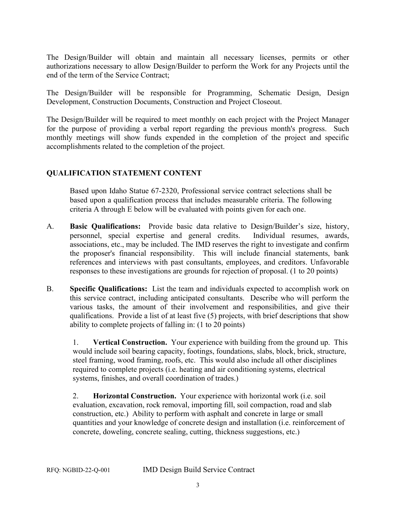The Design/Builder will obtain and maintain all necessary licenses, permits or other authorizations necessary to allow Design/Builder to perform the Work for any Projects until the end of the term of the Service Contract;

The Design/Builder will be responsible for Programming, Schematic Design, Design Development, Construction Documents, Construction and Project Closeout.

The Design/Builder will be required to meet monthly on each project with the Project Manager for the purpose of providing a verbal report regarding the previous month's progress. Such monthly meetings will show funds expended in the completion of the project and specific accomplishments related to the completion of the project.

# **QUALIFICATION STATEMENT CONTENT**

Based upon Idaho Statue 67-2320, Professional service contract selections shall be based upon a qualification process that includes measurable criteria. The following criteria A through E below will be evaluated with points given for each one.

- A. **Basic Qualifications:** Provide basic data relative to Design/Builder's size, history, personnel, special expertise and general credits. Individual resumes, awards, associations, etc., may be included. The IMD reserves the right to investigate and confirm the proposer's financial responsibility. This will include financial statements, bank references and interviews with past consultants, employees, and creditors. Unfavorable responses to these investigations are grounds for rejection of proposal. (1 to 20 points)
- B. **Specific Qualifications:** List the team and individuals expected to accomplish work on this service contract, including anticipated consultants. Describe who will perform the various tasks, the amount of their involvement and responsibilities, and give their qualifications. Provide a list of at least five (5) projects, with brief descriptions that show ability to complete projects of falling in: (1 to 20 points)

1. **Vertical Construction.** Your experience with building from the ground up. This would include soil bearing capacity, footings, foundations, slabs, block, brick, structure, steel framing, wood framing, roofs, etc. This would also include all other disciplines required to complete projects (i.e. heating and air conditioning systems, electrical systems, finishes, and overall coordination of trades.)

2. **Horizontal Construction.** Your experience with horizontal work (i.e. soil evaluation, excavation, rock removal, importing fill, soil compaction, road and slab construction, etc.) Ability to perform with asphalt and concrete in large or small quantities and your knowledge of concrete design and installation (i.e. reinforcement of concrete, doweling, concrete sealing, cutting, thickness suggestions, etc.)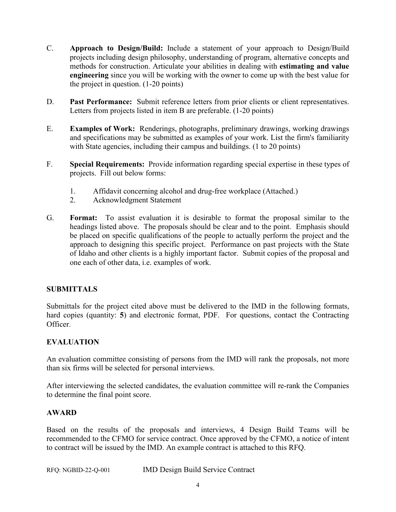- C. **Approach to Design/Build:** Include a statement of your approach to Design/Build projects including design philosophy, understanding of program, alternative concepts and methods for construction. Articulate your abilities in dealing with **estimating and value engineering** since you will be working with the owner to come up with the best value for the project in question. (1-20 points)
- D. **Past Performance:** Submit reference letters from prior clients or client representatives. Letters from projects listed in item B are preferable. (1-20 points)
- E. **Examples of Work:** Renderings, photographs, preliminary drawings, working drawings and specifications may be submitted as examples of your work. List the firm's familiarity with State agencies, including their campus and buildings. (1 to 20 points)
- F. **Special Requirements:** Provide information regarding special expertise in these types of projects. Fill out below forms:
	- 1. Affidavit concerning alcohol and drug-free workplace (Attached.)
	- 2. Acknowledgment Statement
- G. **Format:** To assist evaluation it is desirable to format the proposal similar to the headings listed above. The proposals should be clear and to the point. Emphasis should be placed on specific qualifications of the people to actually perform the project and the approach to designing this specific project. Performance on past projects with the State of Idaho and other clients is a highly important factor. Submit copies of the proposal and one each of other data, i.e. examples of work.

# **SUBMITTALS**

Submittals for the project cited above must be delivered to the IMD in the following formats, hard copies (quantity: **5**) and electronic format, PDF. For questions, contact the Contracting Officer.

# **EVALUATION**

An evaluation committee consisting of persons from the IMD will rank the proposals, not more than six firms will be selected for personal interviews.

After interviewing the selected candidates, the evaluation committee will re-rank the Companies to determine the final point score.

# **AWARD**

Based on the results of the proposals and interviews, 4 Design Build Teams will be recommended to the CFMO for service contract. Once approved by the CFMO, a notice of intent to contract will be issued by the IMD. An example contract is attached to this RFQ.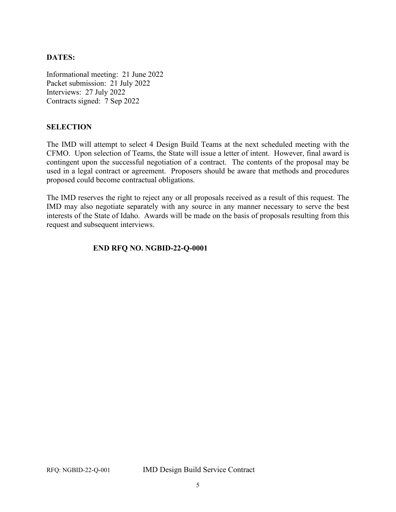#### **DATES:**

Informational meeting: 21 June 2022 Packet submission: 21 July 2022 Interviews: 27 July 2022 Contracts signed: 7 Sep 2022

#### **SELECTION**

The IMD will attempt to select 4 Design Build Teams at the next scheduled meeting with the CFMO. Upon selection of Teams, the State will issue a letter of intent. However, final award is contingent upon the successful negotiation of a contract. The contents of the proposal may be used in a legal contract or agreement. Proposers should be aware that methods and procedures proposed could become contractual obligations.

The IMD reserves the right to reject any or all proposals received as a result of this request. The IMD may also negotiate separately with any source in any manner necessary to serve the best interests of the State of Idaho. Awards will be made on the basis of proposals resulting from this request and subsequent interviews.

#### **END RFQ NO. NGBID-22-Q-0001**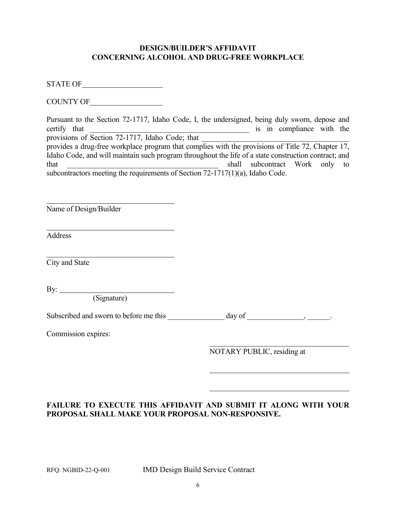#### **DESIGN/BUILDER'S AFFIDAVIT CONCERNING ALCOHOL AND DRUG-FREE WORKPLACE**

STATE OF

COUNTY OF

| Pursuant to the Section 72-1717, Idaho Code, I, the undersigned, being duly sworn, depose and        |  |  |                           |  |
|------------------------------------------------------------------------------------------------------|--|--|---------------------------|--|
| certify that                                                                                         |  |  | is in compliance with the |  |
| provisions of Section 72-1717, Idaho Code; that                                                      |  |  |                           |  |
| provides a drug-free workplace program that complies with the provisions of Title 72, Chapter 17,    |  |  |                           |  |
| Idaho Code, and will maintain such program throughout the life of a state construction contract; and |  |  |                           |  |
| that<br>shall subcontract Work only to                                                               |  |  |                           |  |
| subcontractors meeting the requirements of Section $72-1717(1)(a)$ , Idaho Code.                     |  |  |                           |  |

Name of Design/Builder

Address

 $\overline{a}$ 

 $\overline{a}$ 

 $\overline{a}$ City and State

By:

(Signature)

<u> 1989 - Johann Barbara, martxa a</u>

Subscribed and sworn to before me this \_\_\_\_\_\_\_\_\_\_\_\_\_\_ day of \_\_\_\_\_\_\_\_\_\_\_\_, \_\_\_\_\_\_.

Commission expires:

NOTARY PUBLIC, residing at

# **FAILURE TO EXECUTE THIS AFFIDAVIT AND SUBMIT IT ALONG WITH YOUR PROPOSAL SHALL MAKE YOUR PROPOSAL NON-RESPONSIVE.**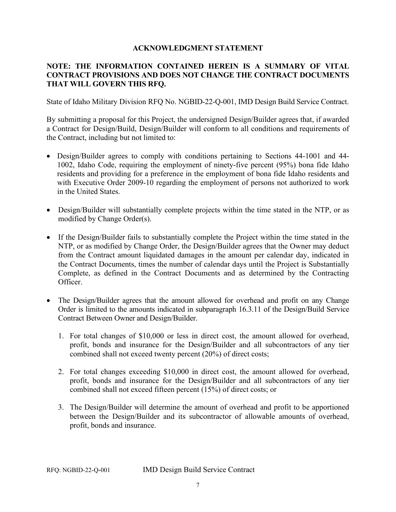#### **ACKNOWLEDGMENT STATEMENT**

#### **NOTE: THE INFORMATION CONTAINED HEREIN IS A SUMMARY OF VITAL CONTRACT PROVISIONS AND DOES NOT CHANGE THE CONTRACT DOCUMENTS THAT WILL GOVERN THIS RFQ.**

State of Idaho Military Division RFQ No. NGBID-22-Q-001, IMD Design Build Service Contract.

By submitting a proposal for this Project, the undersigned Design/Builder agrees that, if awarded a Contract for Design/Build, Design/Builder will conform to all conditions and requirements of the Contract, including but not limited to:

- Design/Builder agrees to comply with conditions pertaining to Sections 44-1001 and 44- 1002, Idaho Code, requiring the employment of ninety-five percent (95%) bona fide Idaho residents and providing for a preference in the employment of bona fide Idaho residents and with Executive Order 2009-10 regarding the employment of persons not authorized to work in the United States.
- Design/Builder will substantially complete projects within the time stated in the NTP, or as modified by Change Order(s).
- If the Design/Builder fails to substantially complete the Project within the time stated in the NTP, or as modified by Change Order, the Design/Builder agrees that the Owner may deduct from the Contract amount liquidated damages in the amount per calendar day, indicated in the Contract Documents, times the number of calendar days until the Project is Substantially Complete, as defined in the Contract Documents and as determined by the Contracting Officer.
- The Design/Builder agrees that the amount allowed for overhead and profit on any Change Order is limited to the amounts indicated in subparagraph 16.3.11 of the Design/Build Service Contract Between Owner and Design/Builder.
	- 1. For total changes of \$10,000 or less in direct cost, the amount allowed for overhead, profit, bonds and insurance for the Design/Builder and all subcontractors of any tier combined shall not exceed twenty percent (20%) of direct costs;
	- 2. For total changes exceeding \$10,000 in direct cost, the amount allowed for overhead, profit, bonds and insurance for the Design/Builder and all subcontractors of any tier combined shall not exceed fifteen percent (15%) of direct costs; or
	- 3. The Design/Builder will determine the amount of overhead and profit to be apportioned between the Design/Builder and its subcontractor of allowable amounts of overhead, profit, bonds and insurance.